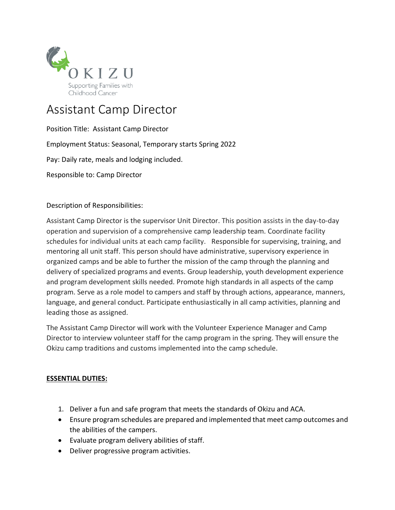

# Assistant Camp Director

Position Title: Assistant Camp Director Employment Status: Seasonal, Temporary starts Spring 2022 Pay: Daily rate, meals and lodging included. Responsible to: Camp Director

Description of Responsibilities:

Assistant Camp Director is the supervisor Unit Director. This position assists in the day-to-day operation and supervision of a comprehensive camp leadership team. Coordinate facility schedules for individual units at each camp facility. Responsible for supervising, training, and mentoring all unit staff. This person should have administrative, supervisory experience in organized camps and be able to further the mission of the camp through the planning and delivery of specialized programs and events. Group leadership, youth development experience and program development skills needed. Promote high standards in all aspects of the camp program. Serve as a role model to campers and staff by through actions, appearance, manners, language, and general conduct. Participate enthusiastically in all camp activities, planning and leading those as assigned.

The Assistant Camp Director will work with the Volunteer Experience Manager and Camp Director to interview volunteer staff for the camp program in the spring. They will ensure the Okizu camp traditions and customs implemented into the camp schedule.

## **ESSENTIAL DUTIES:**

- 1. Deliver a fun and safe program that meets the standards of Okizu and ACA.
- Ensure program schedules are prepared and implemented that meet camp outcomes and the abilities of the campers.
- Evaluate program delivery abilities of staff.
- Deliver progressive program activities.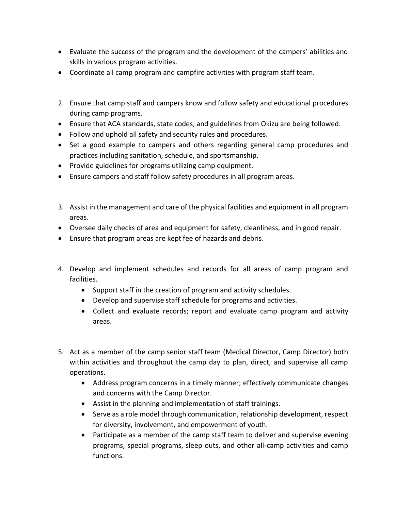- Evaluate the success of the program and the development of the campers' abilities and skills in various program activities.
- Coordinate all camp program and campfire activities with program staff team.
- 2. Ensure that camp staff and campers know and follow safety and educational procedures during camp programs.
- Ensure that ACA standards, state codes, and guidelines from Okizu are being followed.
- Follow and uphold all safety and security rules and procedures.
- Set a good example to campers and others regarding general camp procedures and practices including sanitation, schedule, and sportsmanship.
- Provide guidelines for programs utilizing camp equipment.
- Ensure campers and staff follow safety procedures in all program areas.
- 3. Assist in the management and care of the physical facilities and equipment in all program areas.
- Oversee daily checks of area and equipment for safety, cleanliness, and in good repair.
- Ensure that program areas are kept fee of hazards and debris.
- 4. Develop and implement schedules and records for all areas of camp program and facilities.
	- Support staff in the creation of program and activity schedules.
	- Develop and supervise staff schedule for programs and activities.
	- Collect and evaluate records; report and evaluate camp program and activity areas.
- 5. Act as a member of the camp senior staff team (Medical Director, Camp Director) both within activities and throughout the camp day to plan, direct, and supervise all camp operations.
	- Address program concerns in a timely manner; effectively communicate changes and concerns with the Camp Director.
	- Assist in the planning and implementation of staff trainings.
	- Serve as a role model through communication, relationship development, respect for diversity, involvement, and empowerment of youth.
	- Participate as a member of the camp staff team to deliver and supervise evening programs, special programs, sleep outs, and other all-camp activities and camp functions.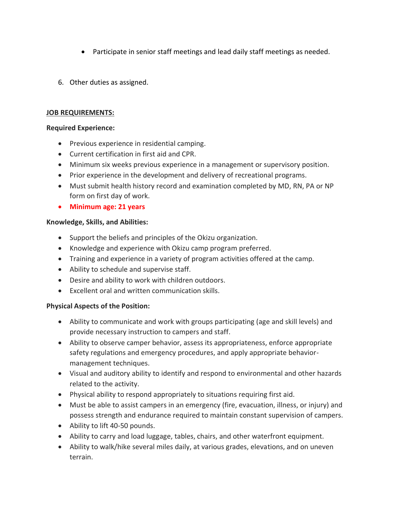- Participate in senior staff meetings and lead daily staff meetings as needed.
- 6. Other duties as assigned.

#### **JOB REQUIREMENTS:**

#### **Required Experience:**

- Previous experience in residential camping.
- Current certification in first aid and CPR.
- Minimum six weeks previous experience in a management or supervisory position.
- Prior experience in the development and delivery of recreational programs.
- Must submit health history record and examination completed by MD, RN, PA or NP form on first day of work.
- **Minimum age: 21 years**

### **Knowledge, Skills, and Abilities:**

- Support the beliefs and principles of the Okizu organization.
- Knowledge and experience with Okizu camp program preferred.
- Training and experience in a variety of program activities offered at the camp.
- Ability to schedule and supervise staff.
- Desire and ability to work with children outdoors.
- Excellent oral and written communication skills.

## **Physical Aspects of the Position:**

- Ability to communicate and work with groups participating (age and skill levels) and provide necessary instruction to campers and staff.
- Ability to observe camper behavior, assess its appropriateness, enforce appropriate safety regulations and emergency procedures, and apply appropriate behaviormanagement techniques.
- Visual and auditory ability to identify and respond to environmental and other hazards related to the activity.
- Physical ability to respond appropriately to situations requiring first aid.
- Must be able to assist campers in an emergency (fire, evacuation, illness, or injury) and possess strength and endurance required to maintain constant supervision of campers.
- Ability to lift 40-50 pounds.
- Ability to carry and load luggage, tables, chairs, and other waterfront equipment.
- Ability to walk/hike several miles daily, at various grades, elevations, and on uneven terrain.